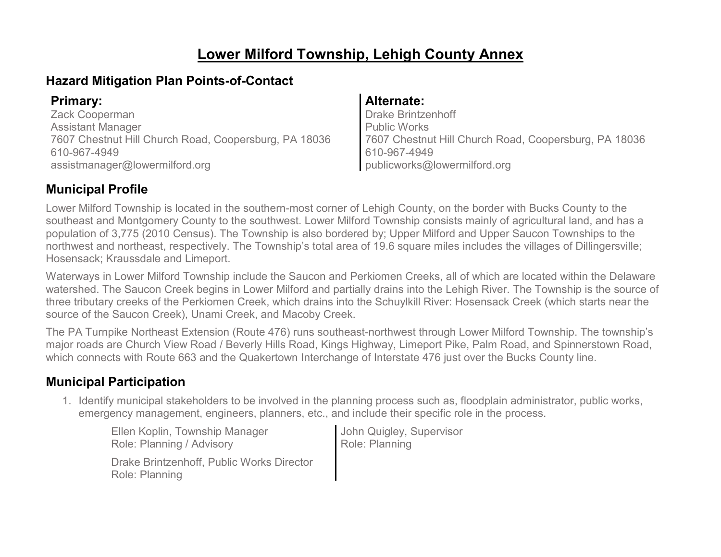## **Lower Milford Township, Lehigh County Annex**

## **Hazard Mitigation Plan Points-of-Contact**

| <b>Primary:</b>                                       | Alternate:                                            |
|-------------------------------------------------------|-------------------------------------------------------|
| Zack Cooperman                                        | Drake Brintzenhoff                                    |
| <b>Assistant Manager</b>                              | Public Works                                          |
| 7607 Chestnut Hill Church Road, Coopersburg, PA 18036 | 7607 Chestnut Hill Church Road, Coopersburg, PA 18036 |
| 610-967-4949                                          | 610-967-4949                                          |
| assistmanager@lowermilford.org                        | publicworks@lowermilford.org                          |

## **Municipal Profile**

Lower Milford Township is located in the southern-most corner of Lehigh County, on the border with Bucks County to the southeast and Montgomery County to the southwest. Lower Milford Township consists mainly of agricultural land, and has a population of 3,775 (2010 Census). The Township is also bordered by; Upper Milford and Upper Saucon Townships to the northwest and northeast, respectively. The Township's total area of 19.6 square miles includes the villages of Dillingersville; Hosensack; Kraussdale and Limeport.

Waterways in Lower Milford Township include the Saucon and Perkiomen Creeks, all of which are located within the Delaware watershed. The Saucon Creek begins in Lower Milford and partially drains into the Lehigh River. The Township is the source of three tributary creeks of the Perkiomen Creek, which drains into the Schuylkill River: Hosensack Creek (which starts near the source of the Saucon Creek), Unami Creek, and Macoby Creek.

The PA Turnpike Northeast Extension (Route 476) runs southeast-northwest through Lower Milford Township. The township's major roads are Church View Road / Beverly Hills Road, Kings Highway, Limeport Pike, Palm Road, and Spinnerstown Road, which connects with Route 663 and the Quakertown Interchange of Interstate 476 just over the Bucks County line.

## **Municipal Participation**

1. Identify municipal stakeholders to be involved in the planning process such as, floodplain administrator, public works, emergency management, engineers, planners, etc., and include their specific role in the process.

Ellen Koplin, Township Manager Role: Planning / Advisory Drake Brintzenhoff, Public Works Director Role: Planning

John Quigley, Supervisor Role: Planning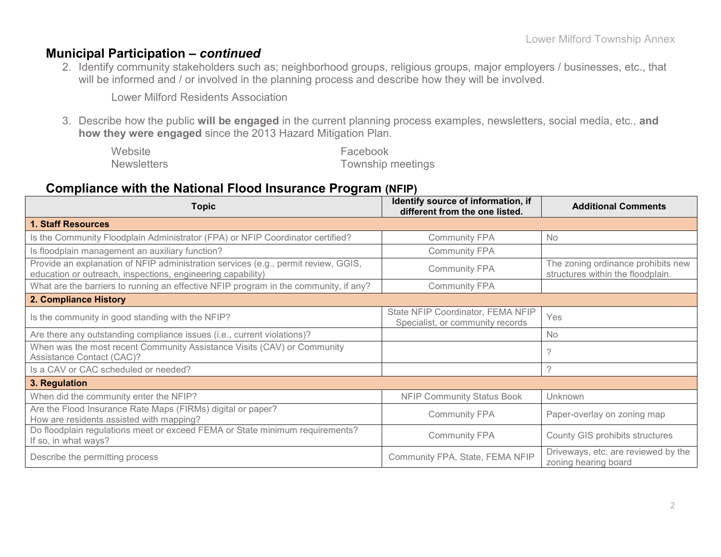## **Municipal Participation –** *continued*

2. Identify community stakeholders such as; neighborhood groups, religious groups, major employers / businesses, etc., that will be informed and / or involved in the planning process and describe how they will be involved.

Lower Milford Residents Association

3. Describe how the public **will be engaged** in the current planning process examples, newsletters, social media, etc., **and how they were engaged** since the 2013 Hazard Mitigation Plan.

| Website            | Facebook                 |
|--------------------|--------------------------|
| <b>Newsletters</b> | <b>Township meetings</b> |

## **Compliance with the National Flood Insurance Program (NFIP)**

| <b>Topic</b>                                                                                                                                      | Identify source of information, if<br>different from the one listed.  | <b>Additional Comments</b>                                              |
|---------------------------------------------------------------------------------------------------------------------------------------------------|-----------------------------------------------------------------------|-------------------------------------------------------------------------|
| <b>1. Staff Resources</b>                                                                                                                         |                                                                       |                                                                         |
| Is the Community Floodplain Administrator (FPA) or NFIP Coordinator certified?                                                                    | <b>Community FPA</b>                                                  | <b>No</b>                                                               |
| Is floodplain management an auxiliary function?                                                                                                   | <b>Community FPA</b>                                                  |                                                                         |
| Provide an explanation of NFIP administration services (e.g., permit review, GGIS,<br>education or outreach, inspections, engineering capability) | <b>Community FPA</b>                                                  | The zoning ordinance prohibits new<br>structures within the floodplain. |
| What are the barriers to running an effective NFIP program in the community, if any?                                                              | <b>Community FPA</b>                                                  |                                                                         |
| 2. Compliance History                                                                                                                             |                                                                       |                                                                         |
| Is the community in good standing with the NFIP?                                                                                                  | State NFIP Coordinator, FEMA NFIP<br>Specialist, or community records | Yes                                                                     |
| Are there any outstanding compliance issues (i.e., current violations)?                                                                           |                                                                       | <b>No</b>                                                               |
| When was the most recent Community Assistance Visits (CAV) or Community<br>Assistance Contact (CAC)?                                              |                                                                       | ?                                                                       |
| Is a CAV or CAC scheduled or needed?                                                                                                              |                                                                       | $\gamma$                                                                |
| 3. Regulation                                                                                                                                     |                                                                       |                                                                         |
| When did the community enter the NFIP?                                                                                                            | <b>NFIP Community Status Book</b>                                     | Unknown                                                                 |
| Are the Flood Insurance Rate Maps (FIRMs) digital or paper?<br>How are residents assisted with mapping?                                           | <b>Community FPA</b>                                                  | Paper-overlay on zoning map                                             |
| Do floodplain regulations meet or exceed FEMA or State minimum requirements?<br>If so, in what ways?                                              | <b>Community FPA</b>                                                  | <b>County GIS prohibits structures</b>                                  |
| Describe the permitting process                                                                                                                   | Community FPA, State, FEMA NFIP                                       | Driveways, etc. are reviewed by the<br>zoning hearing board             |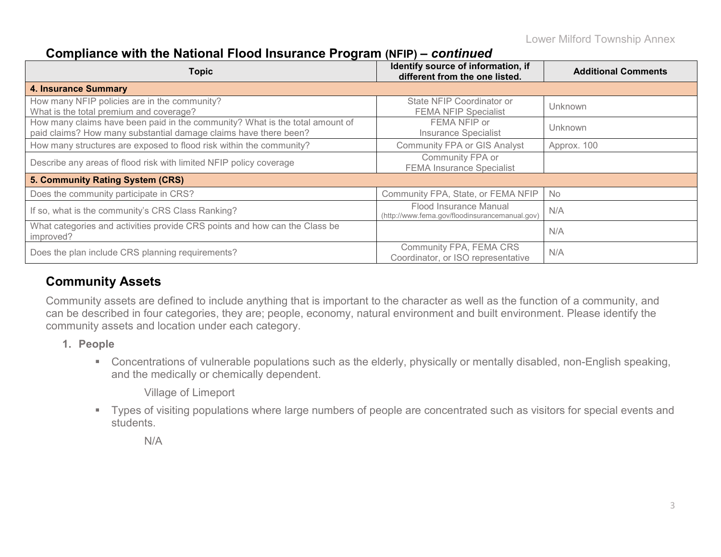## **Compliance with the National Flood Insurance Program (NFIP) –** *continued*

| <b>Topic</b>                                                                                                                                     | Identify source of information, if<br>different from the one listed.     | <b>Additional Comments</b> |
|--------------------------------------------------------------------------------------------------------------------------------------------------|--------------------------------------------------------------------------|----------------------------|
| <b>4. Insurance Summary</b>                                                                                                                      |                                                                          |                            |
| How many NFIP policies are in the community?<br>What is the total premium and coverage?                                                          | State NFIP Coordinator or<br><b>FEMA NFIP Specialist</b>                 | Unknown                    |
| How many claims have been paid in the community? What is the total amount of<br>paid claims? How many substantial damage claims have there been? | FEMA NFIP or<br><b>Insurance Specialist</b>                              | Unknown                    |
| How many structures are exposed to flood risk within the community?                                                                              | <b>Community FPA or GIS Analyst</b>                                      | Approx. 100                |
| Describe any areas of flood risk with limited NFIP policy coverage                                                                               | Community FPA or<br><b>FEMA Insurance Specialist</b>                     |                            |
| 5. Community Rating System (CRS)                                                                                                                 |                                                                          |                            |
| Does the community participate in CRS?                                                                                                           | Community FPA, State, or FEMA NFIP                                       | <b>No</b>                  |
| If so, what is the community's CRS Class Ranking?                                                                                                | Flood Insurance Manual<br>(http://www.fema.gov/floodinsurancemanual.gov) | N/A                        |
| What categories and activities provide CRS points and how can the Class be<br>improved?                                                          |                                                                          | N/A                        |
| Does the plan include CRS planning requirements?                                                                                                 | Community FPA, FEMA CRS<br>Coordinator, or ISO representative            | N/A                        |

## **Community Assets**

Community assets are defined to include anything that is important to the character as well as the function of a community, and can be described in four categories, they are; people, economy, natural environment and built environment. Please identify the community assets and location under each category.

- **1. People**
	- Concentrations of vulnerable populations such as the elderly, physically or mentally disabled, non-English speaking, and the medically or chemically dependent.

Village of Limeport

 Types of visiting populations where large numbers of people are concentrated such as visitors for special events and students.

N/A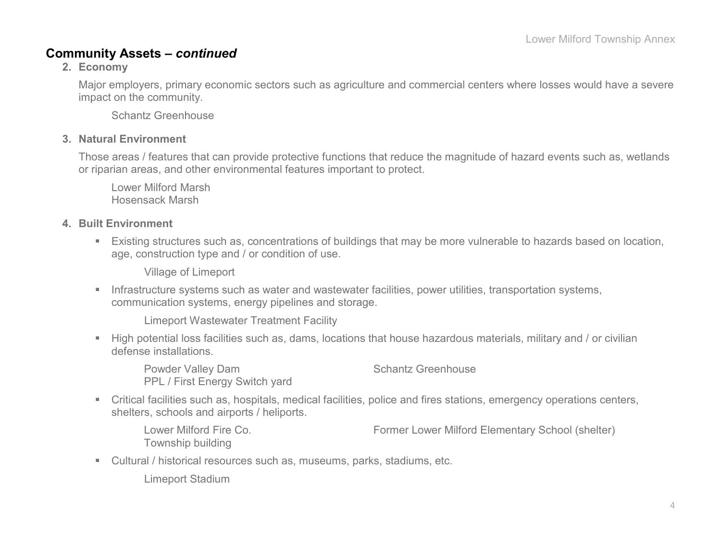## **Community Assets –** *continued*

**2. Economy**

Major employers, primary economic sectors such as agriculture and commercial centers where losses would have a severe impact on the community.

Schantz Greenhouse

### **3. Natural Environment**

Those areas / features that can provide protective functions that reduce the magnitude of hazard events such as, wetlands or riparian areas, and other environmental features important to protect.

Lower Milford Marsh Hosensack Marsh

### **4. Built Environment**

 Existing structures such as, concentrations of buildings that may be more vulnerable to hazards based on location, age, construction type and / or condition of use.

Village of Limeport

**Infrastructure systems such as water and wastewater facilities, power utilities, transportation systems,** communication systems, energy pipelines and storage.

Limeport Wastewater Treatment Facility

 High potential loss facilities such as, dams, locations that house hazardous materials, military and / or civilian defense installations.

Powder Valley Dam Schantz Greenhouse PPL / First Energy Switch yard

 Critical facilities such as, hospitals, medical facilities, police and fires stations, emergency operations centers, shelters, schools and airports / heliports.

Lower Milford Fire Co. Former Lower Milford Elementary School (shelter) Township building

Cultural / historical resources such as, museums, parks, stadiums, etc.

Limeport Stadium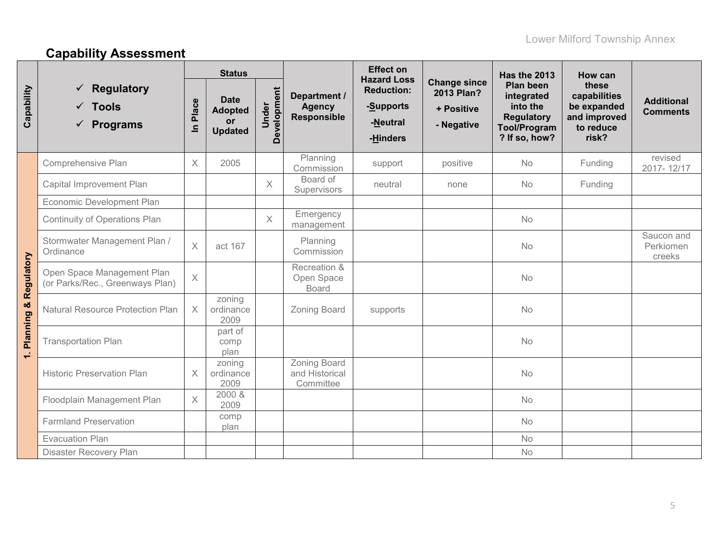# **Capability Assessment**

|              |                                                               |                       | <b>Status</b>                                                |                      |                                                     | <b>Effect on</b><br><b>Hazard Loss</b>                 |                                                               | Has the 2013                                                                                            | How can                                                                    |                                      |
|--------------|---------------------------------------------------------------|-----------------------|--------------------------------------------------------------|----------------------|-----------------------------------------------------|--------------------------------------------------------|---------------------------------------------------------------|---------------------------------------------------------------------------------------------------------|----------------------------------------------------------------------------|--------------------------------------|
| Capability   | <b>Regulatory</b><br><b>Tools</b><br>✓<br><b>Programs</b>     | Place<br>$\mathbf{u}$ | <b>Date</b><br><b>Adopted</b><br><b>or</b><br><b>Updated</b> | Development<br>Under | Department /<br><b>Agency</b><br><b>Responsible</b> | <b>Reduction:</b><br>-Supports<br>-Neutral<br>-Hinders | <b>Change since</b><br>2013 Plan?<br>+ Positive<br>- Negative | <b>Plan been</b><br>integrated<br>into the<br><b>Regulatory</b><br><b>Tool/Program</b><br>? If so, how? | these<br>capabilities<br>be expanded<br>and improved<br>to reduce<br>risk? | <b>Additional</b><br><b>Comments</b> |
|              | Comprehensive Plan                                            | $\times$              | 2005                                                         |                      | Planning<br>Commission                              | support                                                | positive                                                      | <b>No</b>                                                                                               | Funding                                                                    | revised<br>2017-12/17                |
|              | Capital Improvement Plan                                      |                       |                                                              | $\times$             | Board of<br>Supervisors                             | neutral                                                | none                                                          | <b>No</b>                                                                                               | Funding                                                                    |                                      |
|              | Economic Development Plan                                     |                       |                                                              |                      |                                                     |                                                        |                                                               |                                                                                                         |                                                                            |                                      |
|              | Continuity of Operations Plan                                 |                       |                                                              | $\times$             | Emergency<br>management                             |                                                        |                                                               | <b>No</b>                                                                                               |                                                                            |                                      |
|              | Stormwater Management Plan /<br>Ordinance                     | $\times$              | act 167                                                      |                      | Planning<br>Commission                              |                                                        |                                                               | <b>No</b>                                                                                               |                                                                            | Saucon and<br>Perkiomen<br>creeks    |
| Regulatory   | Open Space Management Plan<br>(or Parks/Rec., Greenways Plan) | $\mathsf X$           |                                                              |                      | Recreation &<br>Open Space<br><b>Board</b>          |                                                        |                                                               | <b>No</b>                                                                                               |                                                                            |                                      |
| Planning &   | <b>Natural Resource Protection Plan</b>                       | $\times$              | zoning<br>ordinance<br>2009                                  |                      | <b>Zoning Board</b>                                 | supports                                               |                                                               | <b>No</b>                                                                                               |                                                                            |                                      |
| $\leftarrow$ | <b>Transportation Plan</b>                                    |                       | part of<br>comp<br>plan                                      |                      |                                                     |                                                        |                                                               | <b>No</b>                                                                                               |                                                                            |                                      |
|              | <b>Historic Preservation Plan</b>                             | $\times$              | zoning<br>ordinance<br>2009                                  |                      | <b>Zoning Board</b><br>and Historical<br>Committee  |                                                        |                                                               | <b>No</b>                                                                                               |                                                                            |                                      |
|              | Floodplain Management Plan                                    | $\times$              | 2000 &<br>2009                                               |                      |                                                     |                                                        |                                                               | <b>No</b>                                                                                               |                                                                            |                                      |
|              | <b>Farmland Preservation</b>                                  |                       | comp<br>plan                                                 |                      |                                                     |                                                        |                                                               | <b>No</b>                                                                                               |                                                                            |                                      |
|              | <b>Evacuation Plan</b>                                        |                       |                                                              |                      |                                                     |                                                        |                                                               | <b>No</b>                                                                                               |                                                                            |                                      |
|              | Disaster Recovery Plan                                        |                       |                                                              |                      |                                                     |                                                        |                                                               | <b>No</b>                                                                                               |                                                                            |                                      |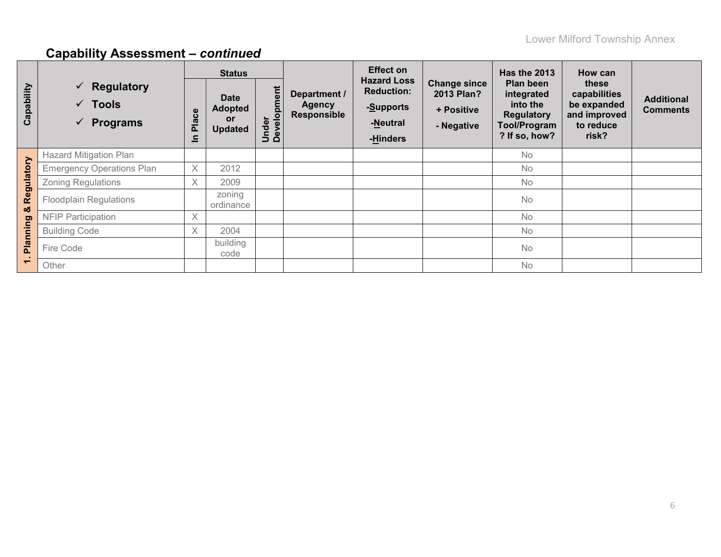|                          |                                                                                            |            | <b>Status</b>                                         |                      |                                                     | <b>Effect on</b>                                                             |                                                                      | <b>Has the 2013</b>                                                                              | How can                                                                    |                                      |
|--------------------------|--------------------------------------------------------------------------------------------|------------|-------------------------------------------------------|----------------------|-----------------------------------------------------|------------------------------------------------------------------------------|----------------------------------------------------------------------|--------------------------------------------------------------------------------------------------|----------------------------------------------------------------------------|--------------------------------------|
| Capability               | <b>Regulatory</b><br>$\checkmark$<br>$\checkmark$ Tools<br><b>Programs</b><br>$\checkmark$ | Place<br>드 | <b>Date</b><br><b>Adopted</b><br>or<br><b>Updated</b> | Under<br>Development | Department /<br><b>Agency</b><br><b>Responsible</b> | <b>Hazard Loss</b><br><b>Reduction:</b><br>-Supports<br>-Neutral<br>-Hinders | <b>Change since</b><br><b>2013 Plan?</b><br>+ Positive<br>- Negative | Plan been<br>integrated<br>into the<br><b>Regulatory</b><br><b>Tool/Program</b><br>? If so, how? | these<br>capabilities<br>be expanded<br>and improved<br>to reduce<br>risk? | <b>Additional</b><br><b>Comments</b> |
|                          | <b>Hazard Mitigation Plan</b>                                                              |            |                                                       |                      |                                                     |                                                                              |                                                                      | No                                                                                               |                                                                            |                                      |
|                          | <b>Emergency Operations Plan</b>                                                           | X          | 2012                                                  |                      |                                                     |                                                                              |                                                                      | <b>No</b>                                                                                        |                                                                            |                                      |
|                          | <b>Zoning Regulations</b>                                                                  | $\times$   | 2009                                                  |                      |                                                     |                                                                              |                                                                      | <b>No</b>                                                                                        |                                                                            |                                      |
| Regulatory<br>ೲ          | <b>Floodplain Regulations</b>                                                              |            | zoning<br>ordinance                                   |                      |                                                     |                                                                              |                                                                      | <b>No</b>                                                                                        |                                                                            |                                      |
|                          | <b>NFIP Participation</b>                                                                  | X          |                                                       |                      |                                                     |                                                                              |                                                                      | <b>No</b>                                                                                        |                                                                            |                                      |
|                          | <b>Building Code</b>                                                                       | $\times$   | 2004                                                  |                      |                                                     |                                                                              |                                                                      | <b>No</b>                                                                                        |                                                                            |                                      |
| Planning                 | Fire Code                                                                                  |            | building<br>code                                      |                      |                                                     |                                                                              |                                                                      | <b>No</b>                                                                                        |                                                                            |                                      |
| $\overline{\phantom{0}}$ | Other                                                                                      |            |                                                       |                      |                                                     |                                                                              |                                                                      | No                                                                                               |                                                                            |                                      |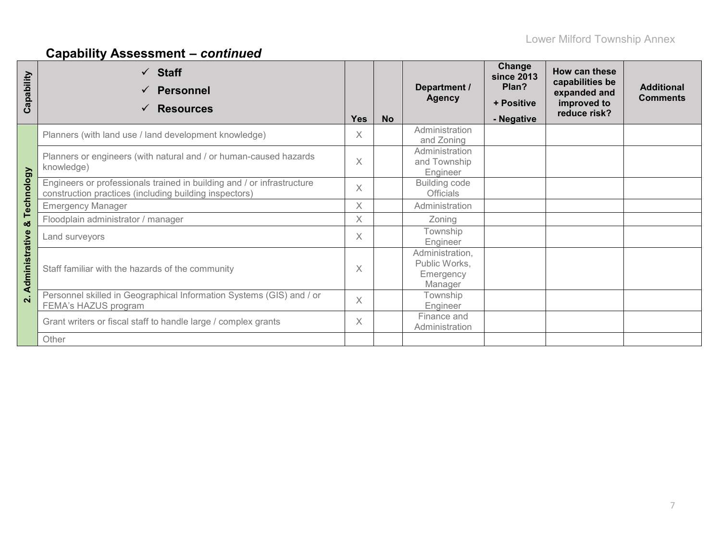| Capability         | $\checkmark$ Staff<br><b>Personnel</b><br><b>Resources</b><br>$\checkmark$                                                       | <b>Yes</b> | <b>No</b> | Department /<br><b>Agency</b>                            | Change<br><b>since 2013</b><br>Plan?<br>+ Positive<br>- Negative | How can these<br>capabilities be<br>expanded and<br>improved to<br>reduce risk? | <b>Additional</b><br><b>Comments</b> |
|--------------------|----------------------------------------------------------------------------------------------------------------------------------|------------|-----------|----------------------------------------------------------|------------------------------------------------------------------|---------------------------------------------------------------------------------|--------------------------------------|
|                    | Planners (with land use / land development knowledge)                                                                            | $\times$   |           | Administration<br>and Zoning                             |                                                                  |                                                                                 |                                      |
|                    | Planners or engineers (with natural and / or human-caused hazards<br>knowledge)                                                  | $\times$   |           | Administration<br>and Township<br>Engineer               |                                                                  |                                                                                 |                                      |
| Technology         | Engineers or professionals trained in building and / or infrastructure<br>construction practices (including building inspectors) | $\times$   |           | Building code<br><b>Officials</b>                        |                                                                  |                                                                                 |                                      |
|                    | <b>Emergency Manager</b>                                                                                                         | $\times$   |           | Administration                                           |                                                                  |                                                                                 |                                      |
| œ                  | Floodplain administrator / manager                                                                                               | $\times$   |           | Zoning                                                   |                                                                  |                                                                                 |                                      |
|                    | Land surveyors                                                                                                                   | $\times$   |           | Township<br>Engineer                                     |                                                                  |                                                                                 |                                      |
| Administrative     | Staff familiar with the hazards of the community                                                                                 | $\times$   |           | Administration,<br>Public Works,<br>Emergency<br>Manager |                                                                  |                                                                                 |                                      |
| $\dot{\mathbf{v}}$ | Personnel skilled in Geographical Information Systems (GIS) and / or<br>FEMA's HAZUS program                                     | $\times$   |           | Township<br>Engineer                                     |                                                                  |                                                                                 |                                      |
|                    | Grant writers or fiscal staff to handle large / complex grants                                                                   | $\times$   |           | Finance and<br>Administration                            |                                                                  |                                                                                 |                                      |
|                    | Other                                                                                                                            |            |           |                                                          |                                                                  |                                                                                 |                                      |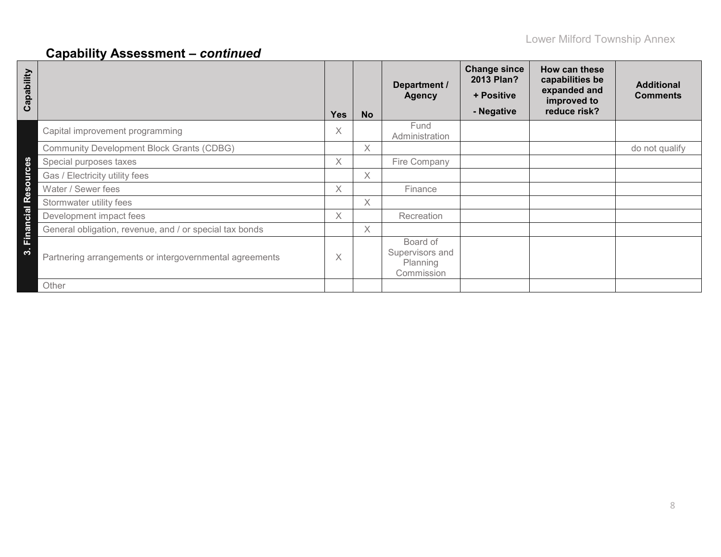| Capability          |                                                         | <b>Yes</b> | <b>No</b> | Department /<br><b>Agency</b>                         | <b>Change since</b><br>2013 Plan?<br>+ Positive<br>- Negative | How can these<br>capabilities be<br>expanded and<br>improved to<br>reduce risk? | <b>Additional</b><br><b>Comments</b> |
|---------------------|---------------------------------------------------------|------------|-----------|-------------------------------------------------------|---------------------------------------------------------------|---------------------------------------------------------------------------------|--------------------------------------|
|                     | Capital improvement programming                         | X          |           | Fund<br>Administration                                |                                                               |                                                                                 |                                      |
|                     | <b>Community Development Block Grants (CDBG)</b>        |            | $\chi$    |                                                       |                                                               |                                                                                 | do not qualify                       |
|                     | Special purposes taxes                                  | X          |           | Fire Company                                          |                                                               |                                                                                 |                                      |
| Financial Resources | Gas / Electricity utility fees                          |            | $\chi$    |                                                       |                                                               |                                                                                 |                                      |
|                     | Water / Sewer fees                                      | X.         |           | Finance                                               |                                                               |                                                                                 |                                      |
|                     | Stormwater utility fees                                 |            | $\chi$    |                                                       |                                                               |                                                                                 |                                      |
|                     | Development impact fees                                 | $\times$   |           | Recreation                                            |                                                               |                                                                                 |                                      |
|                     | General obligation, revenue, and / or special tax bonds |            | $\chi$    |                                                       |                                                               |                                                                                 |                                      |
| က                   | Partnering arrangements or intergovernmental agreements | Χ          |           | Board of<br>Supervisors and<br>Planning<br>Commission |                                                               |                                                                                 |                                      |
|                     | Other                                                   |            |           |                                                       |                                                               |                                                                                 |                                      |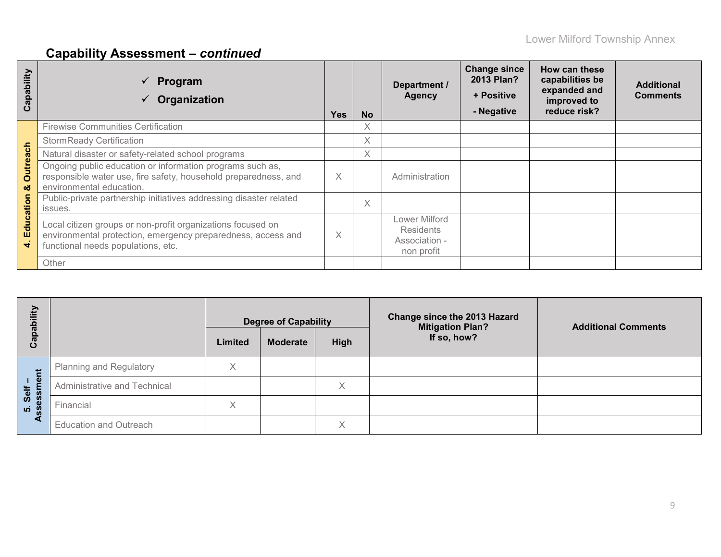| Capability           | Program<br>Organization                                                                                                                                           | <b>Yes</b> | <b>No</b> | Department /<br><b>Agency</b>                                    | <b>Change since</b><br>2013 Plan?<br>+ Positive<br>- Negative | How can these<br>capabilities be<br>expanded and<br>improved to<br>reduce risk? | <b>Additional</b><br><b>Comments</b> |
|----------------------|-------------------------------------------------------------------------------------------------------------------------------------------------------------------|------------|-----------|------------------------------------------------------------------|---------------------------------------------------------------|---------------------------------------------------------------------------------|--------------------------------------|
|                      | <b>Firewise Communities Certification</b>                                                                                                                         |            | X         |                                                                  |                                                               |                                                                                 |                                      |
|                      | <b>StormReady Certification</b>                                                                                                                                   |            | $\times$  |                                                                  |                                                               |                                                                                 |                                      |
|                      | Natural disaster or safety-related school programs                                                                                                                |            |           |                                                                  |                                                               |                                                                                 |                                      |
| <b>Outreach</b><br>ఱ | Ongoing public education or information programs such as,<br>responsible water use, fire safety, household preparedness, and<br>environmental education.          | X          |           | Administration                                                   |                                                               |                                                                                 |                                      |
|                      | Public-private partnership initiatives addressing disaster related<br>issues.                                                                                     |            | $\times$  |                                                                  |                                                               |                                                                                 |                                      |
| Education<br>₹       | Local citizen groups or non-profit organizations focused on<br>environmental protection, emergency preparedness, access and<br>functional needs populations, etc. | X          |           | Lower Milford<br><b>Residents</b><br>Association -<br>non profit |                                                               |                                                                                 |                                      |
|                      | Other                                                                                                                                                             |            |           |                                                                  |                                                               |                                                                                 |                                      |

| ₹                 |                                | <b>Degree of Capability</b> |                 |      | Change since the 2013 Hazard<br><b>Mitigation Plan?</b> | <b>Additional Comments</b> |
|-------------------|--------------------------------|-----------------------------|-----------------|------|---------------------------------------------------------|----------------------------|
| ပ                 |                                | Limited                     | <b>Moderate</b> | High | If so, how?                                             |                            |
| 岩                 | <b>Planning and Regulatory</b> | X                           |                 |      |                                                         |                            |
| ு<br>Self         | Administrative and Technical   |                             |                 | X    |                                                         |                            |
| ц<br><u>ທ່ ທີ</u> | Financial                      | X                           |                 |      |                                                         |                            |
|                   | <b>Education and Outreach</b>  |                             |                 | Χ    |                                                         |                            |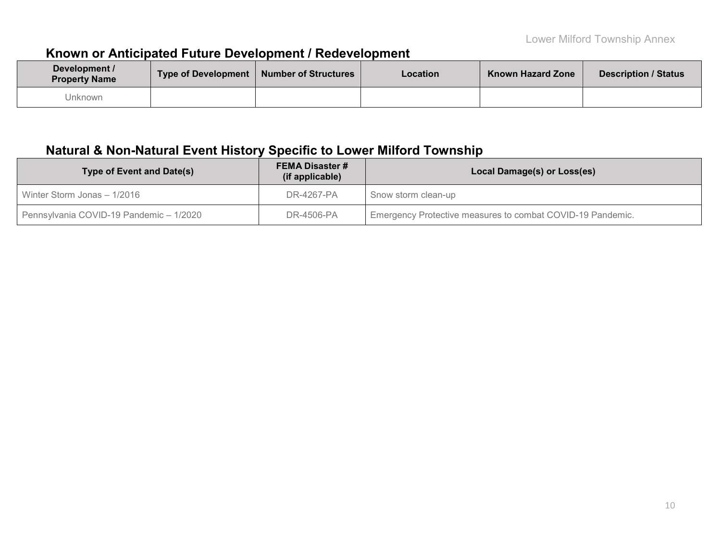## **Known or Anticipated Future Development / Redevelopment**

| Development /<br><b>Property Name</b> | Type of Development   Number of Structures | <b>Location</b> | <b>Known Hazard Zone</b> | <b>Description / Status</b> |
|---------------------------------------|--------------------------------------------|-----------------|--------------------------|-----------------------------|
| Jnknown                               |                                            |                 |                          |                             |

## **Natural & Non-Natural Event History Specific to Lower Milford Township**

| <b>Type of Event and Date(s)</b>        | <b>FEMA Disaster #</b><br>(if applicable) | Local Damage(s) or Loss(es)                                |
|-----------------------------------------|-------------------------------------------|------------------------------------------------------------|
| Winter Storm Jonas - 1/2016             | DR-4267-PA                                | Snow storm clean-up                                        |
| Pennsylvania COVID-19 Pandemic - 1/2020 | DR-4506-PA                                | Emergency Protective measures to combat COVID-19 Pandemic. |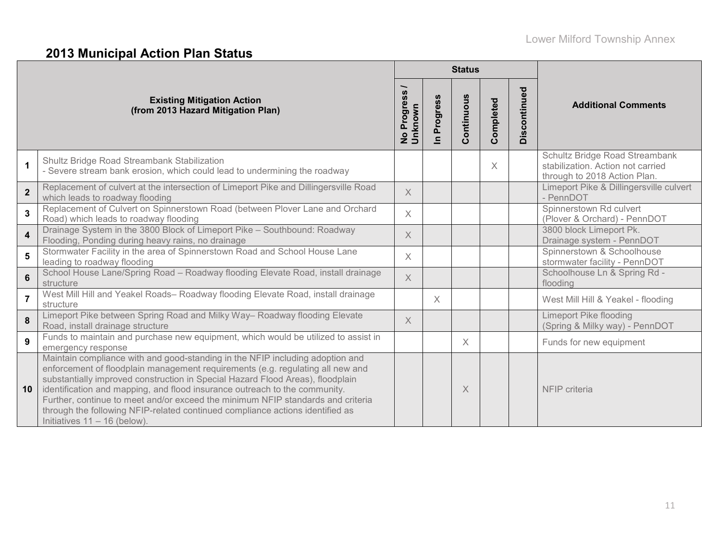# **2013 Municipal Action Plan Status**

|                         |                                                                                                                                                                                                                                                                                                                                                                                                                                                                                                                                       |                                         |                            | <b>Status</b> |           |                  |                                                                                                     |
|-------------------------|---------------------------------------------------------------------------------------------------------------------------------------------------------------------------------------------------------------------------------------------------------------------------------------------------------------------------------------------------------------------------------------------------------------------------------------------------------------------------------------------------------------------------------------|-----------------------------------------|----------------------------|---------------|-----------|------------------|-----------------------------------------------------------------------------------------------------|
|                         | <b>Existing Mitigation Action</b><br>(from 2013 Hazard Mitigation Plan)                                                                                                                                                                                                                                                                                                                                                                                                                                                               | Progress<br><b>No Progre</b><br>Unknown | Progress<br>$\blacksquare$ | Continuous    | Completed | continued<br>Dis | <b>Additional Comments</b>                                                                          |
| $\mathbf{1}$            | Shultz Bridge Road Streambank Stabilization<br>- Severe stream bank erosion, which could lead to undermining the roadway                                                                                                                                                                                                                                                                                                                                                                                                              |                                         |                            |               | X         |                  | Schultz Bridge Road Streambank<br>stabilization. Action not carried<br>through to 2018 Action Plan. |
| $\overline{2}$          | Replacement of culvert at the intersection of Limeport Pike and Dillingersville Road<br>which leads to roadway flooding                                                                                                                                                                                                                                                                                                                                                                                                               | $\times$                                |                            |               |           |                  | Limeport Pike & Dillingersville culvert<br>- PennDOT                                                |
| $\mathbf{3}$            | Replacement of Culvert on Spinnerstown Road (between Plover Lane and Orchard<br>Road) which leads to roadway flooding                                                                                                                                                                                                                                                                                                                                                                                                                 | $\times$                                |                            |               |           |                  | Spinnerstown Rd culvert<br>(Plover & Orchard) - PennDOT                                             |
| $\overline{\mathbf{4}}$ | Drainage System in the 3800 Block of Limeport Pike - Southbound: Roadway<br>Flooding, Ponding during heavy rains, no drainage                                                                                                                                                                                                                                                                                                                                                                                                         | $\times$                                |                            |               |           |                  | 3800 block Limeport Pk.<br>Drainage system - PennDOT                                                |
| 5                       | Stormwater Facility in the area of Spinnerstown Road and School House Lane<br>leading to roadway flooding                                                                                                                                                                                                                                                                                                                                                                                                                             | $\times$                                |                            |               |           |                  | Spinnerstown & Schoolhouse<br>stormwater facility - PennDOT                                         |
| $6\phantom{a}$          | School House Lane/Spring Road - Roadway flooding Elevate Road, install drainage<br>structure                                                                                                                                                                                                                                                                                                                                                                                                                                          | $\chi$                                  |                            |               |           |                  | Schoolhouse Ln & Spring Rd -<br>flooding                                                            |
| $\overline{7}$          | West Mill Hill and Yeakel Roads- Roadway flooding Elevate Road, install drainage<br>structure                                                                                                                                                                                                                                                                                                                                                                                                                                         |                                         | $\times$                   |               |           |                  | West Mill Hill & Yeakel - flooding                                                                  |
| 8                       | Limeport Pike between Spring Road and Milky Way- Roadway flooding Elevate<br>Road, install drainage structure                                                                                                                                                                                                                                                                                                                                                                                                                         | $\times$                                |                            |               |           |                  | Limeport Pike flooding<br>(Spring & Milky way) - PennDOT                                            |
| 9                       | Funds to maintain and purchase new equipment, which would be utilized to assist in<br>emergency response                                                                                                                                                                                                                                                                                                                                                                                                                              |                                         |                            | X             |           |                  | Funds for new equipment                                                                             |
| 10                      | Maintain compliance with and good-standing in the NFIP including adoption and<br>enforcement of floodplain management requirements (e.g. regulating all new and<br>substantially improved construction in Special Hazard Flood Areas), floodplain<br>identification and mapping, and flood insurance outreach to the community.<br>Further, continue to meet and/or exceed the minimum NFIP standards and criteria<br>through the following NFIP-related continued compliance actions identified as<br>Initiatives $11 - 16$ (below). |                                         |                            | $\times$      |           |                  | NFIP criteria                                                                                       |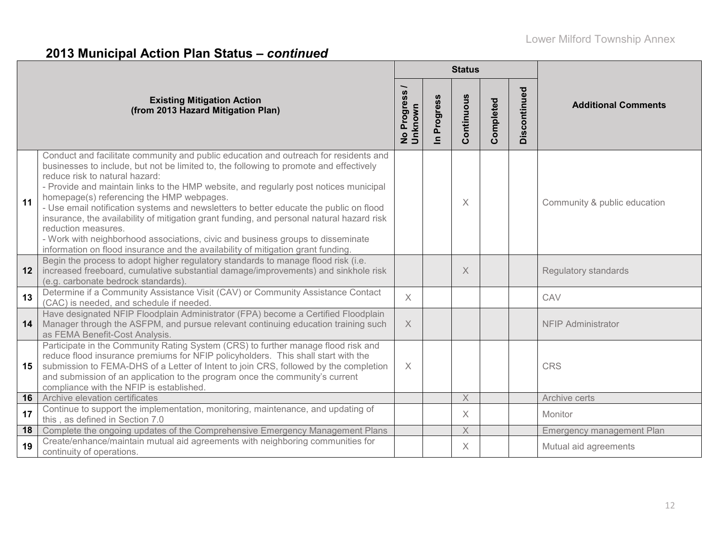# **2013 Municipal Action Plan Status –** *continued*

|    |                                                                                                                                                                                                                                                                                                                                                                                                                                                                                                                                                                                                                                                                                                                                             |                                     |                            | <b>Status</b> |           |              |                              |
|----|---------------------------------------------------------------------------------------------------------------------------------------------------------------------------------------------------------------------------------------------------------------------------------------------------------------------------------------------------------------------------------------------------------------------------------------------------------------------------------------------------------------------------------------------------------------------------------------------------------------------------------------------------------------------------------------------------------------------------------------------|-------------------------------------|----------------------------|---------------|-----------|--------------|------------------------------|
|    | <b>Existing Mitigation Action</b><br>(from 2013 Hazard Mitigation Plan)                                                                                                                                                                                                                                                                                                                                                                                                                                                                                                                                                                                                                                                                     | No Progress <sub>/</sub><br>Unknown | Progress<br>$\overline{=}$ | Continuous    | Completed | Discontinued | <b>Additional Comments</b>   |
| 11 | Conduct and facilitate community and public education and outreach for residents and<br>businesses to include, but not be limited to, the following to promote and effectively<br>reduce risk to natural hazard:<br>- Provide and maintain links to the HMP website, and regularly post notices municipal<br>homepage(s) referencing the HMP webpages.<br>- Use email notification systems and newsletters to better educate the public on flood<br>insurance, the availability of mitigation grant funding, and personal natural hazard risk<br>reduction measures.<br>- Work with neighborhood associations, civic and business groups to disseminate<br>information on flood insurance and the availability of mitigation grant funding. |                                     |                            | X.            |           |              | Community & public education |
| 12 | Begin the process to adopt higher regulatory standards to manage flood risk (i.e.<br>increased freeboard, cumulative substantial damage/improvements) and sinkhole risk<br>(e.g. carbonate bedrock standards)                                                                                                                                                                                                                                                                                                                                                                                                                                                                                                                               |                                     |                            | $\times$      |           |              | <b>Regulatory standards</b>  |
| 13 | Determine if a Community Assistance Visit (CAV) or Community Assistance Contact<br>(CAC) is needed, and schedule if needed.                                                                                                                                                                                                                                                                                                                                                                                                                                                                                                                                                                                                                 | $\times$                            |                            |               |           |              | CAV                          |
| 14 | Have designated NFIP Floodplain Administrator (FPA) become a Certified Floodplain<br>Manager through the ASFPM, and pursue relevant continuing education training such<br>as FEMA Benefit-Cost Analysis.                                                                                                                                                                                                                                                                                                                                                                                                                                                                                                                                    | $\times$                            |                            |               |           |              | <b>NFIP Administrator</b>    |
| 15 | Participate in the Community Rating System (CRS) to further manage flood risk and<br>reduce flood insurance premiums for NFIP policyholders. This shall start with the<br>submission to FEMA-DHS of a Letter of Intent to join CRS, followed by the completion<br>and submission of an application to the program once the community's current<br>compliance with the NFIP is established.                                                                                                                                                                                                                                                                                                                                                  | $\times$                            |                            |               |           |              | <b>CRS</b>                   |
| 16 | Archive elevation certificates                                                                                                                                                                                                                                                                                                                                                                                                                                                                                                                                                                                                                                                                                                              |                                     |                            | $\times$      |           |              | Archive certs                |
| 17 | Continue to support the implementation, monitoring, maintenance, and updating of<br>this, as defined in Section 7.0                                                                                                                                                                                                                                                                                                                                                                                                                                                                                                                                                                                                                         |                                     |                            | $\times$      |           |              | Monitor                      |
| 18 | Complete the ongoing updates of the Comprehensive Emergency Management Plans                                                                                                                                                                                                                                                                                                                                                                                                                                                                                                                                                                                                                                                                |                                     |                            | X             |           |              | Emergency management Plan    |
| 19 | Create/enhance/maintain mutual aid agreements with neighboring communities for<br>continuity of operations.                                                                                                                                                                                                                                                                                                                                                                                                                                                                                                                                                                                                                                 |                                     |                            | $\times$      |           |              | Mutual aid agreements        |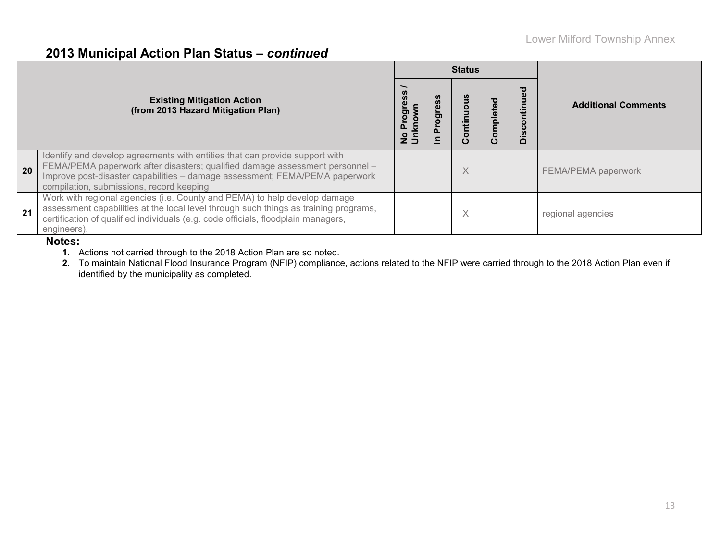## **2013 Municipal Action Plan Status –** *continued*

|    |                                                                                                                                                                                                                                                                                        |           |                     | <b>Status</b>     |                        |                        |                            |
|----|----------------------------------------------------------------------------------------------------------------------------------------------------------------------------------------------------------------------------------------------------------------------------------------|-----------|---------------------|-------------------|------------------------|------------------------|----------------------------|
|    | <b>Existing Mitigation Action</b><br>(from 2013 Hazard Mitigation Plan)                                                                                                                                                                                                                | ress<br>C | ဖိ<br>ω<br>ಕ್ಷ<br>೦ | O<br>ntin<br>ပ    | mpleted<br>$\mathbf C$ | $\overline{O}$<br>Disc | <b>Additional Comments</b> |
| 20 | Identify and develop agreements with entities that can provide support with<br>FEMA/PEMA paperwork after disasters; qualified damage assessment personnel -<br>Improve post-disaster capabilities - damage assessment; FEMA/PEMA paperwork<br>compilation, submissions, record keeping |           |                     | $\checkmark$<br>∧ |                        |                        | FEMA/PEMA paperwork        |
| 21 | Work with regional agencies (i.e. County and PEMA) to help develop damage<br>assessment capabilities at the local level through such things as training programs,<br>certification of qualified individuals (e.g. code officials, floodplain managers,<br>engineers).                  |           |                     | $\checkmark$<br>∧ |                        |                        | regional agencies          |

### **Notes:**

**1.** Actions not carried through to the 2018 Action Plan are so noted.

**2.** To maintain National Flood Insurance Program (NFIP) compliance, actions related to the NFIP were carried through to the 2018 Action Plan even if identified by the municipality as completed.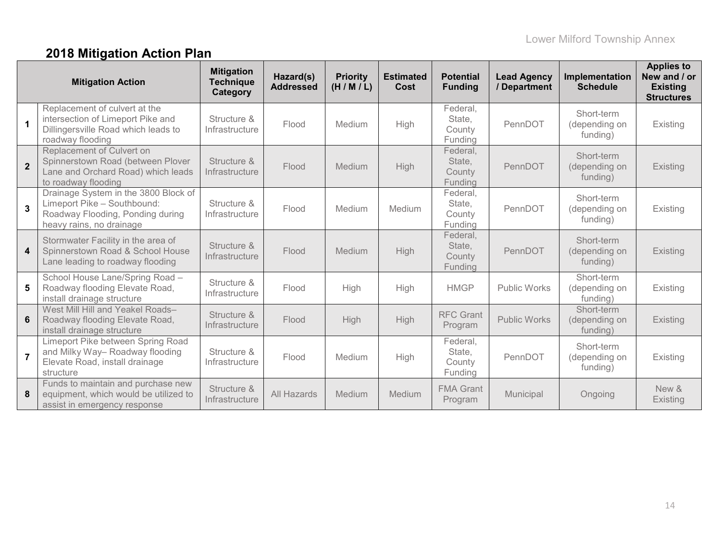# **2018 Mitigation Action Plan**

|                | <b>Mitigation Action</b>                                                                                                            | <b>Mitigation</b><br><b>Technique</b><br>Category | Hazard(s)<br><b>Addressed</b> | <b>Priority</b><br>(H/M/L) | <b>Estimated</b><br>Cost | <b>Potential</b><br><b>Funding</b>      | <b>Lead Agency</b><br>/ Department | Implementation<br><b>Schedule</b>       | <b>Applies to</b><br>New and / or<br><b>Existing</b><br><b>Structures</b> |
|----------------|-------------------------------------------------------------------------------------------------------------------------------------|---------------------------------------------------|-------------------------------|----------------------------|--------------------------|-----------------------------------------|------------------------------------|-----------------------------------------|---------------------------------------------------------------------------|
| $\mathbf{1}$   | Replacement of culvert at the<br>intersection of Limeport Pike and<br>Dillingersville Road which leads to<br>roadway flooding       | Structure &<br>Infrastructure                     | Flood                         | Medium                     | High                     | Federal,<br>State,<br>County<br>Funding | PennDOT                            | Short-term<br>(depending on<br>funding) | Existing                                                                  |
| $\overline{2}$ | Replacement of Culvert on<br>Spinnerstown Road (between Plover<br>Lane and Orchard Road) which leads<br>to roadway flooding         | Structure &<br>Infrastructure                     | Flood                         | Medium                     | High                     | Federal,<br>State,<br>County<br>Funding | PennDOT                            | Short-term<br>(depending on<br>funding) | Existing                                                                  |
| 3              | Drainage System in the 3800 Block of<br>Limeport Pike - Southbound:<br>Roadway Flooding, Ponding during<br>heavy rains, no drainage | Structure &<br>Infrastructure                     | Flood                         | Medium                     | Medium                   | Federal,<br>State,<br>County<br>Funding | PennDOT                            | Short-term<br>(depending on<br>funding) | Existing                                                                  |
| 4              | Stormwater Facility in the area of<br>Spinnerstown Road & School House<br>Lane leading to roadway flooding                          | Structure &<br>Infrastructure                     | Flood                         | Medium                     | High                     | Federal,<br>State,<br>County<br>Funding | PennDOT                            | Short-term<br>(depending on<br>funding) | Existing                                                                  |
| 5              | School House Lane/Spring Road -<br>Roadway flooding Elevate Road,<br>install drainage structure                                     | Structure &<br>Infrastructure                     | Flood                         | High                       | High                     | <b>HMGP</b>                             | <b>Public Works</b>                | Short-term<br>(depending on<br>funding) | Existing                                                                  |
| 6              | West Mill Hill and Yeakel Roads-<br>Roadway flooding Elevate Road,<br>install drainage structure                                    | Structure &<br>Infrastructure                     | Flood                         | High                       | High                     | <b>RFC Grant</b><br>Program             | <b>Public Works</b>                | Short-term<br>(depending on<br>funding) | Existing                                                                  |
| $\overline{7}$ | Limeport Pike between Spring Road<br>and Milky Way- Roadway flooding<br>Elevate Road, install drainage<br>structure                 | Structure &<br>Infrastructure                     | Flood                         | Medium                     | High                     | Federal,<br>State,<br>County<br>Funding | PennDOT                            | Short-term<br>(depending on<br>funding) | Existing                                                                  |
| 8              | Funds to maintain and purchase new<br>equipment, which would be utilized to<br>assist in emergency response                         | Structure &<br>Infrastructure                     | All Hazards                   | Medium                     | Medium                   | <b>FMA Grant</b><br>Program             | Municipal                          | Ongoing                                 | New &<br>Existing                                                         |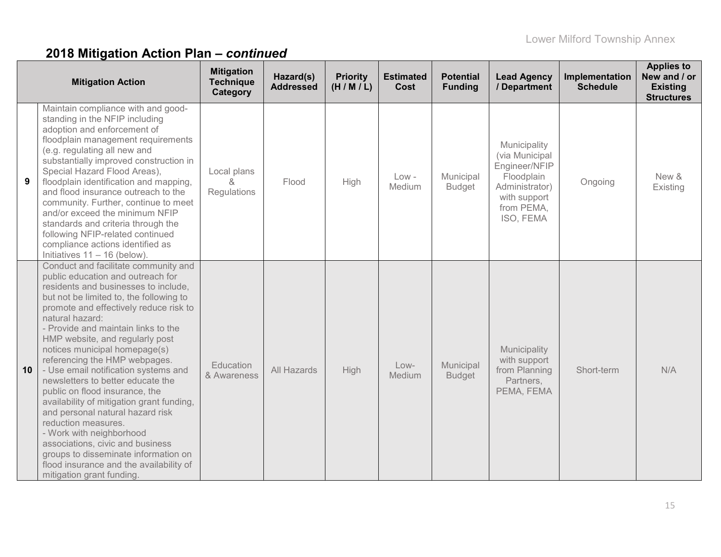|    | <b>Mitigation Action</b>                                                                                                                                                                                                                                                                                                                                                                                                                                                                                                                                                                                                                                                                                                                                                    | <b>Mitigation</b><br><b>Technique</b><br>Category | Hazard(s)<br><b>Addressed</b> | <b>Priority</b><br>(H/M/L) | <b>Estimated</b><br>Cost | <b>Potential</b><br><b>Funding</b> | <b>Lead Agency</b><br>/ Department                                                                                         | Implementation<br><b>Schedule</b> | <b>Applies to</b><br>New and / or<br><b>Existing</b><br><b>Structures</b> |
|----|-----------------------------------------------------------------------------------------------------------------------------------------------------------------------------------------------------------------------------------------------------------------------------------------------------------------------------------------------------------------------------------------------------------------------------------------------------------------------------------------------------------------------------------------------------------------------------------------------------------------------------------------------------------------------------------------------------------------------------------------------------------------------------|---------------------------------------------------|-------------------------------|----------------------------|--------------------------|------------------------------------|----------------------------------------------------------------------------------------------------------------------------|-----------------------------------|---------------------------------------------------------------------------|
| 9  | Maintain compliance with and good-<br>standing in the NFIP including<br>adoption and enforcement of<br>floodplain management requirements<br>(e.g. regulating all new and<br>substantially improved construction in<br>Special Hazard Flood Areas),<br>floodplain identification and mapping,<br>and flood insurance outreach to the<br>community. Further, continue to meet<br>and/or exceed the minimum NFIP<br>standards and criteria through the<br>following NFIP-related continued<br>compliance actions identified as<br>Initiatives $11 - 16$ (below).                                                                                                                                                                                                              | Local plans<br>x.<br>Regulations                  | Flood                         | High                       | $Low -$<br>Medium        | Municipal<br><b>Budget</b>         | Municipality<br>(via Municipal<br>Engineer/NFIP<br>Floodplain<br>Administrator)<br>with support<br>from PEMA,<br>ISO, FEMA | Ongoing                           | New &<br>Existing                                                         |
| 10 | Conduct and facilitate community and<br>public education and outreach for<br>residents and businesses to include,<br>but not be limited to, the following to<br>promote and effectively reduce risk to<br>natural hazard:<br>- Provide and maintain links to the<br>HMP website, and regularly post<br>notices municipal homepage(s)<br>referencing the HMP webpages.<br>- Use email notification systems and<br>newsletters to better educate the<br>public on flood insurance, the<br>availability of mitigation grant funding,<br>and personal natural hazard risk<br>reduction measures.<br>- Work with neighborhood<br>associations, civic and business<br>groups to disseminate information on<br>flood insurance and the availability of<br>mitigation grant funding | Education<br>& Awareness                          | All Hazards                   | <b>High</b>                | Low-<br>Medium           | Municipal<br><b>Budget</b>         | Municipality<br>with support<br>from Planning<br>Partners,<br>PEMA, FEMA                                                   | Short-term                        | N/A                                                                       |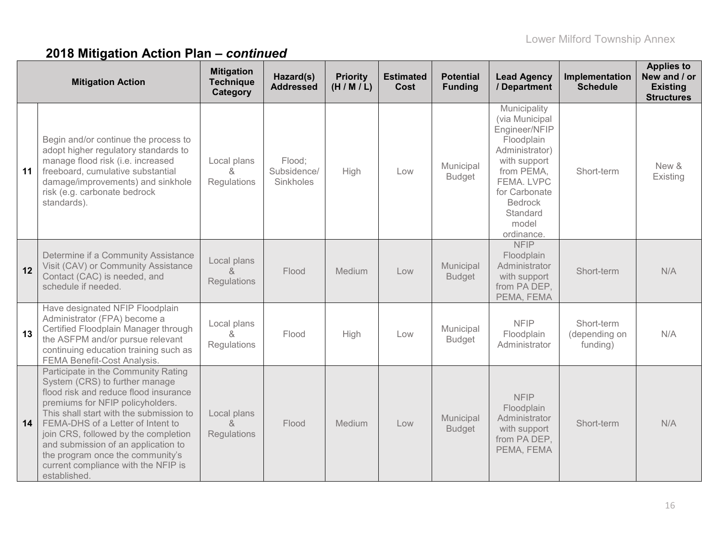|    | <b>Mitigation Action</b>                                                                                                                                                                                                                                                                                                                                                                                     | <b>Mitigation</b><br><b>Technique</b><br>Category        | Hazard(s)<br><b>Addressed</b>      | <b>Priority</b><br>(H/M/L) | <b>Estimated</b><br>Cost | <b>Potential</b><br><b>Funding</b> | <b>Lead Agency</b><br>/ Department                                                                                                                                                                | Implementation<br><b>Schedule</b>       | <b>Applies to</b><br>New and / or<br><b>Existing</b><br><b>Structures</b> |
|----|--------------------------------------------------------------------------------------------------------------------------------------------------------------------------------------------------------------------------------------------------------------------------------------------------------------------------------------------------------------------------------------------------------------|----------------------------------------------------------|------------------------------------|----------------------------|--------------------------|------------------------------------|---------------------------------------------------------------------------------------------------------------------------------------------------------------------------------------------------|-----------------------------------------|---------------------------------------------------------------------------|
| 11 | Begin and/or continue the process to<br>adopt higher regulatory standards to<br>manage flood risk (i.e. increased<br>freeboard, cumulative substantial<br>damage/improvements) and sinkhole<br>risk (e.g. carbonate bedrock<br>standards).                                                                                                                                                                   | Local plans<br>8<br>Regulations                          | Flood;<br>Subsidence/<br>Sinkholes | High                       | Low                      | Municipal<br><b>Budget</b>         | Municipality<br>(via Municipal<br>Engineer/NFIP<br>Floodplain<br>Administrator)<br>with support<br>from PEMA,<br>FEMA, LVPC<br>for Carbonate<br><b>Bedrock</b><br>Standard<br>model<br>ordinance. | Short-term                              | New &<br>Existing                                                         |
| 12 | Determine if a Community Assistance<br>Visit (CAV) or Community Assistance<br>Contact (CAC) is needed, and<br>schedule if needed.                                                                                                                                                                                                                                                                            | Local plans<br>$\mathcal{R}_{\mathbf{z}}$<br>Regulations | Flood                              | Medium                     | Low                      | Municipal<br><b>Budget</b>         | <b>NFIP</b><br>Floodplain<br>Administrator<br>with support<br>from PA DEP,<br>PEMA, FEMA                                                                                                          | Short-term                              | N/A                                                                       |
| 13 | Have designated NFIP Floodplain<br>Administrator (FPA) become a<br>Certified Floodplain Manager through<br>the ASFPM and/or pursue relevant<br>continuing education training such as<br>FEMA Benefit-Cost Analysis.                                                                                                                                                                                          | Local plans<br>&<br>Regulations                          | Flood                              | High                       | Low                      | Municipal<br><b>Budget</b>         | <b>NFIP</b><br>Floodplain<br>Administrator                                                                                                                                                        | Short-term<br>(depending on<br>funding) | N/A                                                                       |
| 14 | Participate in the Community Rating<br>System (CRS) to further manage<br>flood risk and reduce flood insurance<br>premiums for NFIP policyholders.<br>This shall start with the submission to<br>FEMA-DHS of a Letter of Intent to<br>join CRS, followed by the completion<br>and submission of an application to<br>the program once the community's<br>current compliance with the NFIP is<br>established. | Local plans<br>&<br>Regulations                          | Flood                              | Medium                     | Low                      | Municipal<br><b>Budget</b>         | <b>NFIP</b><br>Floodplain<br>Administrator<br>with support<br>from PA DEP,<br>PEMA, FEMA                                                                                                          | Short-term                              | N/A                                                                       |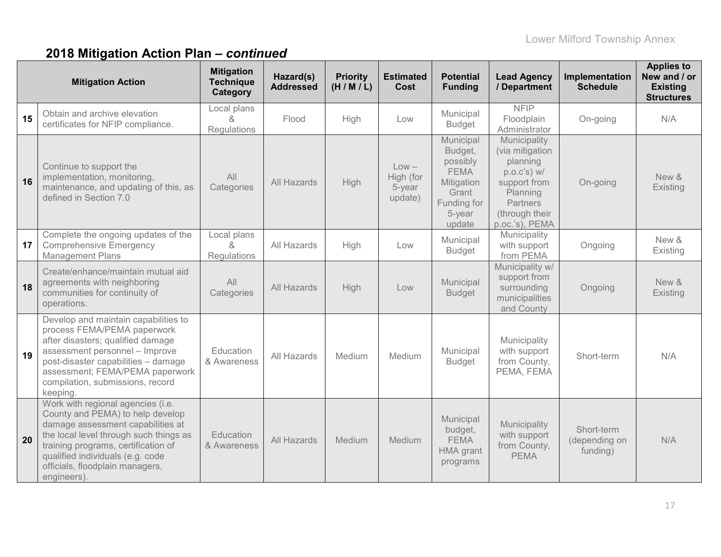|    | <b>Mitigation Action</b>                                                                                                                                                                                                                                                          | <b>Mitigation</b><br><b>Technique</b><br>Category | Hazard(s)<br><b>Addressed</b> | <b>Priority</b><br>(H/M/L) | <b>Estimated</b><br>Cost                  | <b>Potential</b><br><b>Funding</b>                                                                        | <b>Lead Agency</b><br>/ Department                                                                                                            | Implementation<br><b>Schedule</b>       | <b>Applies to</b><br>New and / or<br><b>Existing</b><br><b>Structures</b> |
|----|-----------------------------------------------------------------------------------------------------------------------------------------------------------------------------------------------------------------------------------------------------------------------------------|---------------------------------------------------|-------------------------------|----------------------------|-------------------------------------------|-----------------------------------------------------------------------------------------------------------|-----------------------------------------------------------------------------------------------------------------------------------------------|-----------------------------------------|---------------------------------------------------------------------------|
| 15 | Obtain and archive elevation<br>certificates for NFIP compliance.                                                                                                                                                                                                                 | Local plans<br>&<br>Regulations                   | Flood                         | High                       | Low                                       | Municipal<br><b>Budget</b>                                                                                | <b>NFIP</b><br>Floodplain<br>Administrator                                                                                                    | On-going                                | N/A                                                                       |
| 16 | Continue to support the<br>implementation, monitoring,<br>maintenance, and updating of this, as<br>defined in Section 7.0                                                                                                                                                         | All<br>Categories                                 | All Hazards                   | <b>High</b>                | $Low -$<br>High (for<br>5-year<br>update) | Municipal<br>Budget,<br>possibly<br><b>FEMA</b><br>Mitigation<br>Grant<br>Funding for<br>5-year<br>update | Municipality<br>(via mitigation<br>planning<br>p.o.c's) w/<br>support from<br>Planning<br><b>Partners</b><br>(through their<br>p.oc.'s), PEMA | On-going                                | New &<br>Existing                                                         |
| 17 | Complete the ongoing updates of the<br><b>Comprehensive Emergency</b><br><b>Management Plans</b>                                                                                                                                                                                  | Local plans<br>$\alpha$<br>Regulations            | All Hazards                   | High                       | Low                                       | Municipal<br><b>Budget</b>                                                                                | Municipality<br>with support<br>from PEMA                                                                                                     | Ongoing                                 | New &<br>Existing                                                         |
| 18 | Create/enhance/maintain mutual aid<br>agreements with neighboring<br>communities for continuity of<br>operations.                                                                                                                                                                 | All<br>Categories                                 | All Hazards                   | High                       | Low                                       | Municipal<br><b>Budget</b>                                                                                | Municipality w/<br>support from<br>surrounding<br>municipalities<br>and County                                                                | Ongoing                                 | New &<br>Existing                                                         |
| 19 | Develop and maintain capabilities to<br>process FEMA/PEMA paperwork<br>after disasters; qualified damage<br>assessment personnel - Improve<br>post-disaster capabilities - damage<br>assessment; FEMA/PEMA paperwork<br>compilation, submissions, record<br>keeping.              | Education<br>& Awareness                          | All Hazards                   | Medium                     | Medium                                    | Municipal<br><b>Budget</b>                                                                                | Municipality<br>with support<br>from County,<br>PEMA, FEMA                                                                                    | Short-term                              | N/A                                                                       |
| 20 | Work with regional agencies (i.e.<br>County and PEMA) to help develop<br>damage assessment capabilities at<br>the local level through such things as<br>training programs, certification of<br>qualified individuals (e.g. code<br>officials, floodplain managers,<br>engineers). | Education<br>& Awareness                          | All Hazards                   | Medium                     | Medium                                    | Municipal<br>budget,<br><b>FEMA</b><br>HMA grant<br>programs                                              | Municipality<br>with support<br>from County,<br><b>PEMA</b>                                                                                   | Short-term<br>(depending on<br>funding) | N/A                                                                       |